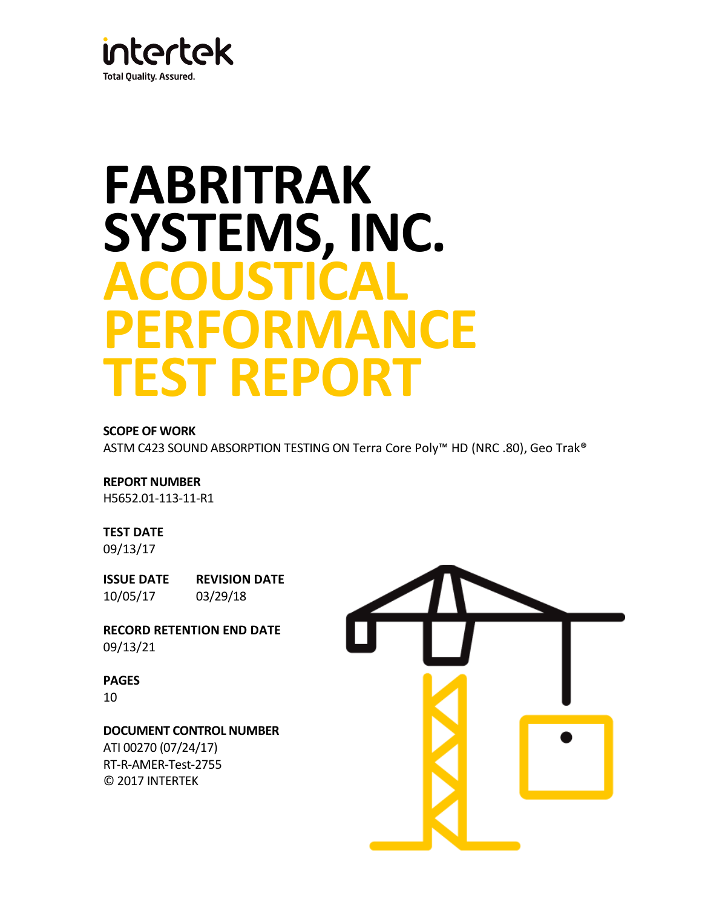

# **FABRITRAK SYSTEMS, INC. ACOUSTICAL PERFORMANCE TEST REPORT**

## **SCOPE OF WORK**

ASTM C423 SOUND ABSORPTION TESTING ON Terra Core Poly™ HD (NRC .80), Geo Trak®

## **REPORT NUMBER**

H5652.01-113-11-R1

## **TEST DATE**

09/13/17

**ISSUE DATE REVISION DATE** 10/05/17 03/29/18

**RECORD RETENTION END DATE** 09/13/21

## **PAGES**

10

## **DOCUMENT CONTROL NUMBER**

ATI 00270 (07/24/17) RT-R-AMER-Test-2755 © 2017 INTERTEK

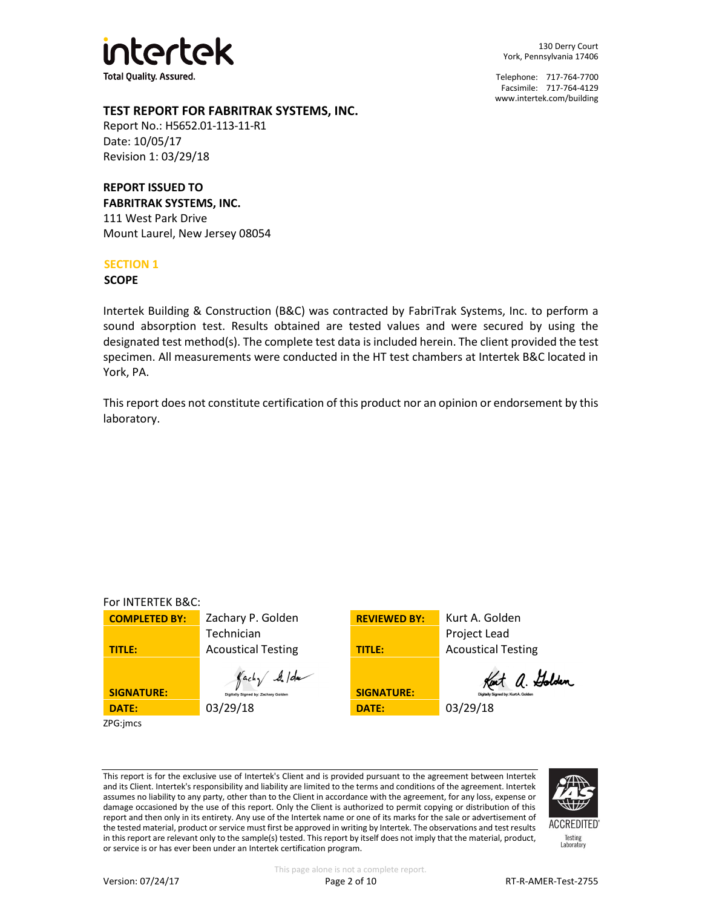

130 Derry Court York, Pennsylvania 17406

Telephone: 717-764-7700 Facsimile: 717-764-4129 [www.intertek.com/building](http://www.intertek.com/building)

## **TEST REPORT FOR FABRITRAK SYSTEMS, INC.**

Report No.: H5652.01-113-11-R1 Date: 10/05/17 Revision 1: 03/29/18

## **REPORT ISSUED TO**

**FABRITRAK SYSTEMS, INC.** 111 West Park Drive Mount Laurel, New Jersey 08054

## **SECTION 1**

**SCOPE**

Intertek Building & Construction (B&C) was contracted by FabriTrak Systems, Inc. to perform a sound absorption test. Results obtained are tested values and were secured by using the designated test method(s). The complete test data is included herein. The client provided the test specimen. All measurements were conducted in the HT test chambers at Intertek B&C located in York, PA.

This report does not constitute certification of this product nor an opinion or endorsement by this laboratory.

| For INTERTEK B&C:    |                                                               |                     |                                                       |
|----------------------|---------------------------------------------------------------|---------------------|-------------------------------------------------------|
| <b>COMPLETED BY:</b> | Zachary P. Golden                                             | <b>REVIEWED BY:</b> | Kurt A. Golden                                        |
|                      | Technician                                                    |                     | Project Lead                                          |
| TITLE:               | <b>Acoustical Testing</b>                                     | <b>TITLE:</b>       | <b>Acoustical Testing</b>                             |
| <b>SIGNATURE:</b>    | $\int$ achy $\int$ /da<br>Digitally Signed by: Zachary Golden | <b>SIGNATURE:</b>   | Kent a. Golden<br>Digitally Signed by: Kurt A. Golden |
| DATE:                | 03/29/18                                                      | <b>DATE:</b>        | 03/29/18                                              |
| ZPG:imcs             |                                                               |                     |                                                       |

This report is for the exclusive use of Intertek's Client and is provided pursuant to the agreement between Intertek and its Client. Intertek's responsibility and liability are limited to the terms and conditions of the agreement. Intertek assumes no liability to any party, other than to the Client in accordance with the agreement, for any loss, expense or damage occasioned by the use of this report. Only the Client is authorized to permit copying or distribution of this report and then only in its entirety. Any use of the Intertek name or one of its marks for the sale or advertisement of the tested material, product or service must first be approved in writing by Intertek. The observations and test results in this report are relevant only to the sample(s) tested. This report by itself does not imply that the material, product, or service is or has ever been under an Intertek certification program.



**ACCREDITED** Testing<br>Laboratory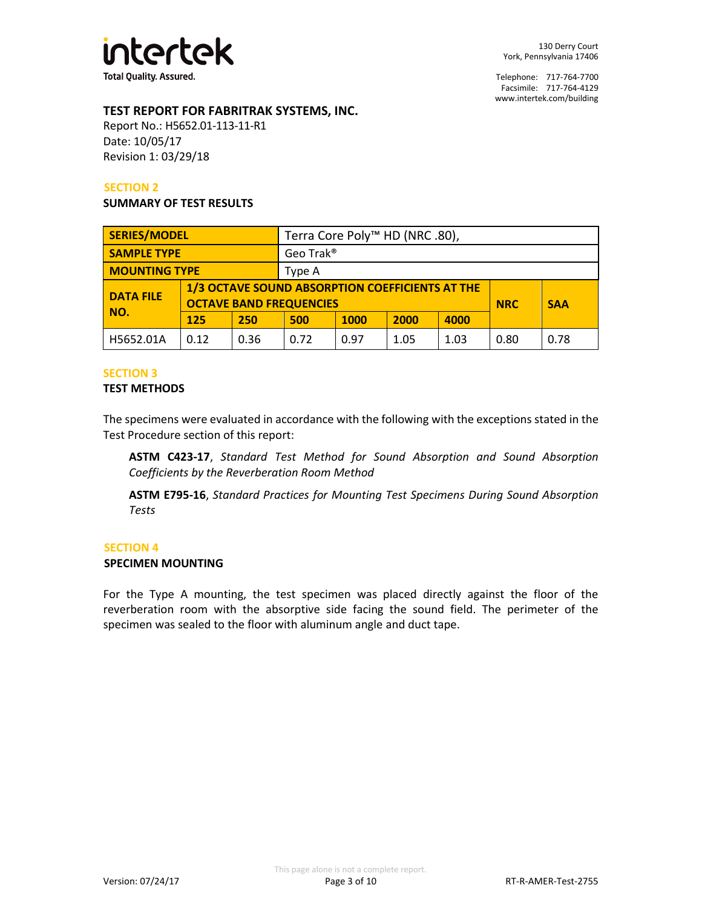

## **TEST REPORT FOR FABRITRAK SYSTEMS, INC.**

Report No.: H5652.01-113-11-R1 Date: 10/05/17 Revision 1: 03/29/18

## **SECTION 2**

#### **SUMMARY OF TEST RESULTS**

| <b>SERIES/MODEL</b>                                |      |      | Terra Core Poly <sup>™</sup> HD (NRC .80),      |      |      |            |            |      |
|----------------------------------------------------|------|------|-------------------------------------------------|------|------|------------|------------|------|
| <b>SAMPLE TYPE</b>                                 |      |      | Geo Trak <sup>®</sup>                           |      |      |            |            |      |
| <b>MOUNTING TYPE</b>                               |      |      | Type A                                          |      |      |            |            |      |
| <b>DATA FILE</b><br><b>OCTAVE BAND FREQUENCIES</b> |      |      | 1/3 OCTAVE SOUND ABSORPTION COEFFICIENTS AT THE |      |      | <b>NRC</b> | <b>SAA</b> |      |
| NO.                                                | 125  | 250  | 4000<br>2000<br><b>1000</b><br>500              |      |      |            |            |      |
| H5652.01A                                          | 0.12 | 0.36 | 0.72                                            | 0.97 | 1.05 | 1.03       | 0.80       | 0.78 |

#### **SECTION 3**

#### **TEST METHODS**

The specimens were evaluated in accordance with the following with the exceptions stated in the Test Procedure section of this report:

**ASTM C423-17**, *Standard Test Method for Sound Absorption and Sound Absorption Coefficients by the Reverberation Room Method*

**ASTM E795-16**, *Standard Practices for Mounting Test Specimens During Sound Absorption Tests*

#### **SECTION 4**

#### **SPECIMEN MOUNTING**

For the Type A mounting, the test specimen was placed directly against the floor of the reverberation room with the absorptive side facing the sound field. The perimeter of the specimen was sealed to the floor with aluminum angle and duct tape.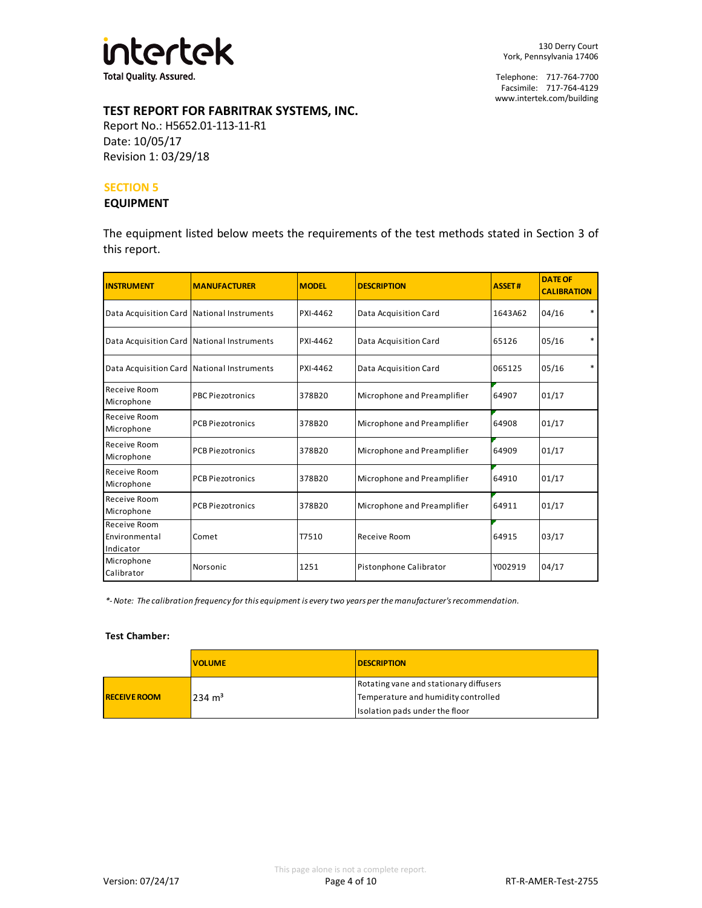

## **TEST REPORT FOR FABRITRAK SYSTEMS, INC.**

Report No.: H5652.01-113-11-R1 Date: 10/05/17 Revision 1: 03/29/18

#### **SECTION 5**

#### **EQUIPMENT**

The equipment listed below meets the requirements of the test methods stated in Section 3 of this report.

| <b>INSTRUMENT</b>                          | <b>MANUFACTURER</b>     | <b>MODEL</b> | <b>DESCRIPTION</b>          | <b>ASSET#</b> | <b>DATE OF</b><br><b>CALIBRATION</b> |
|--------------------------------------------|-------------------------|--------------|-----------------------------|---------------|--------------------------------------|
| Data Acquisition Card National Instruments |                         | PXI-4462     | Data Acquisition Card       | 1643A62       | 04/16<br>*                           |
| Data Acquisition Card National Instruments |                         | PXI-4462     | Data Acquisition Card       | 65126         | $\ast$<br>05/16                      |
| Data Acquisition Card National Instruments |                         | PXI-4462     | Data Acquisition Card       | 065125        | *<br>05/16                           |
| Receive Room<br>Microphone                 | <b>PBC Piezotronics</b> | 378B20       | Microphone and Preamplifier | 64907         | 01/17                                |
| Receive Room<br>Microphone                 | <b>PCB Piezotronics</b> | 378B20       | Microphone and Preamplifier | 64908         | 01/17                                |
| Receive Room<br>Microphone                 | <b>PCB Piezotronics</b> | 378B20       | Microphone and Preamplifier | 64909         | 01/17                                |
| Receive Room<br>Microphone                 | <b>PCB Piezotronics</b> | 378B20       | Microphone and Preamplifier | 64910         | 01/17                                |
| Receive Room<br>Microphone                 | <b>PCB Piezotronics</b> | 378B20       | Microphone and Preamplifier | 64911         | 01/17                                |
| Receive Room<br>Environmental<br>Indicator | Comet                   | T7510        | Receive Room                | 64915         | 03/17                                |
| Microphone<br>Calibrator                   | Norsonic                | 1251         | Pistonphone Calibrator      | Y002919       | 04/17                                |

*\*- Note: The calibration frequency for this equipment is every two years per the manufacturer's recommendation.*

#### **Test Chamber:**

|                     | <b>VOLUME</b>     | <b>DESCRIPTION</b>                     |  |
|---------------------|-------------------|----------------------------------------|--|
| <b>RECEIVE ROOM</b> | $234 \text{ m}^3$ | Rotating vane and stationary diffusers |  |
|                     |                   | Temperature and humidity controlled    |  |
|                     |                   | Isolation pads under the floor         |  |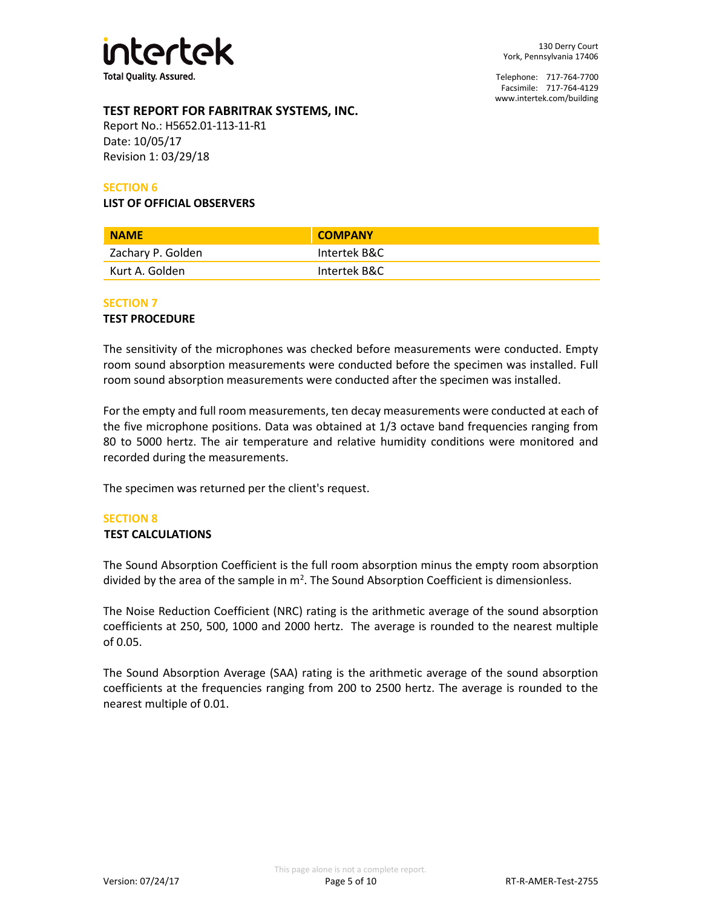

## **TEST REPORT FOR FABRITRAK SYSTEMS, INC.**

Report No.: H5652.01-113-11-R1 Date: 10/05/17 Revision 1: 03/29/18

## **SECTION 6**

**LIST OF OFFICIAL OBSERVERS**

| <b>NAME</b>       | <b>COMPANY</b> |
|-------------------|----------------|
| Zachary P. Golden | Intertek B&C   |
| Kurt A. Golden    | Intertek B&C   |

## **SECTION 7**

#### **TEST PROCEDURE**

The sensitivity of the microphones was checked before measurements were conducted. Empty room sound absorption measurements were conducted before the specimen was installed. Full room sound absorption measurements were conducted after the specimen was installed.

For the empty and full room measurements, ten decay measurements were conducted at each of the five microphone positions. Data was obtained at 1/3 octave band frequencies ranging from 80 to 5000 hertz. The air temperature and relative humidity conditions were monitored and recorded during the measurements.

The specimen was returned per the client's request.

#### **SECTION 8**

#### **TEST CALCULATIONS**

The Sound Absorption Coefficient is the full room absorption minus the empty room absorption divided by the area of the sample in  $m^2$ . The Sound Absorption Coefficient is dimensionless.

The Noise Reduction Coefficient (NRC) rating is the arithmetic average of the sound absorption coefficients at 250, 500, 1000 and 2000 hertz. The average is rounded to the nearest multiple of 0.05.

The Sound Absorption Average (SAA) rating is the arithmetic average of the sound absorption coefficients at the frequencies ranging from 200 to 2500 hertz. The average is rounded to the nearest multiple of 0.01.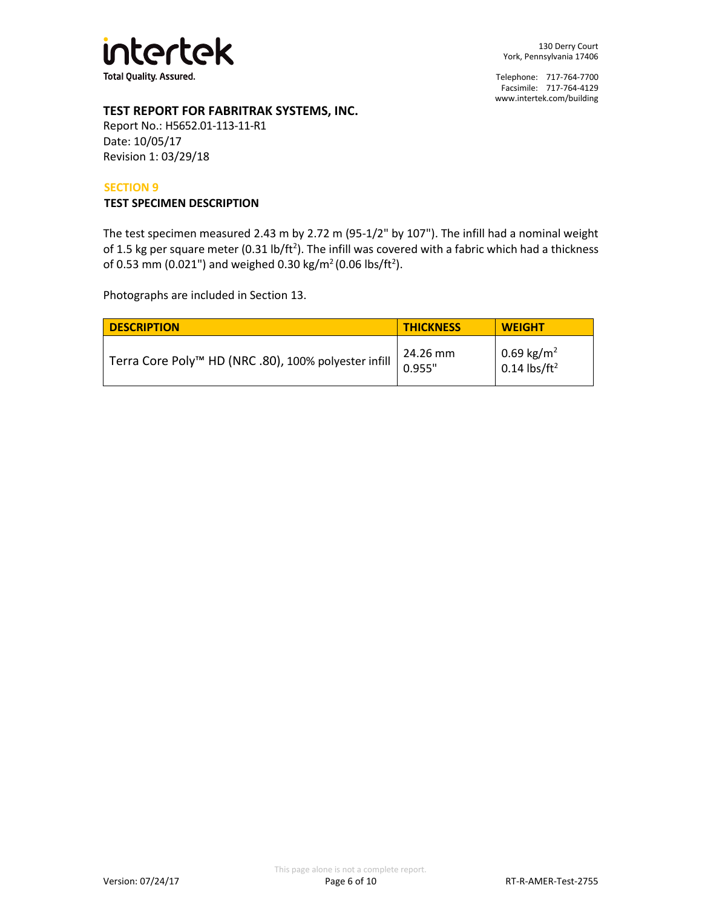

## **TEST REPORT FOR FABRITRAK SYSTEMS, INC.**

Report No.: H5652.01-113-11-R1 Date: 10/05/17 Revision 1: 03/29/18

#### **SECTION 9**

#### **TEST SPECIMEN DESCRIPTION**

The test specimen measured 2.43 m by 2.72 m (95-1/2" by 107"). The infill had a nominal weight of 1.5 kg per square meter (0.31 lb/ft<sup>2</sup>). The infill was covered with a fabric which had a thickness of 0.53 mm (0.021") and weighed 0.30 kg/m<sup>2</sup> (0.06 lbs/ft<sup>2</sup>).

Photographs are included in Section 13.

| <b>DESCRIPTION</b>                                               | <b>THICKNESS</b>   | <b>WEIGHT</b>                                                                 |
|------------------------------------------------------------------|--------------------|-------------------------------------------------------------------------------|
| Terra Core Poly <sup>™</sup> HD (NRC .80), 100% polyester infill | 24.26 mm<br>0.955" | $\begin{array}{ l } 0.69 \text{ kg/m}^2 \\ 0.14 \text{ lbs/ft}^2 \end{array}$ |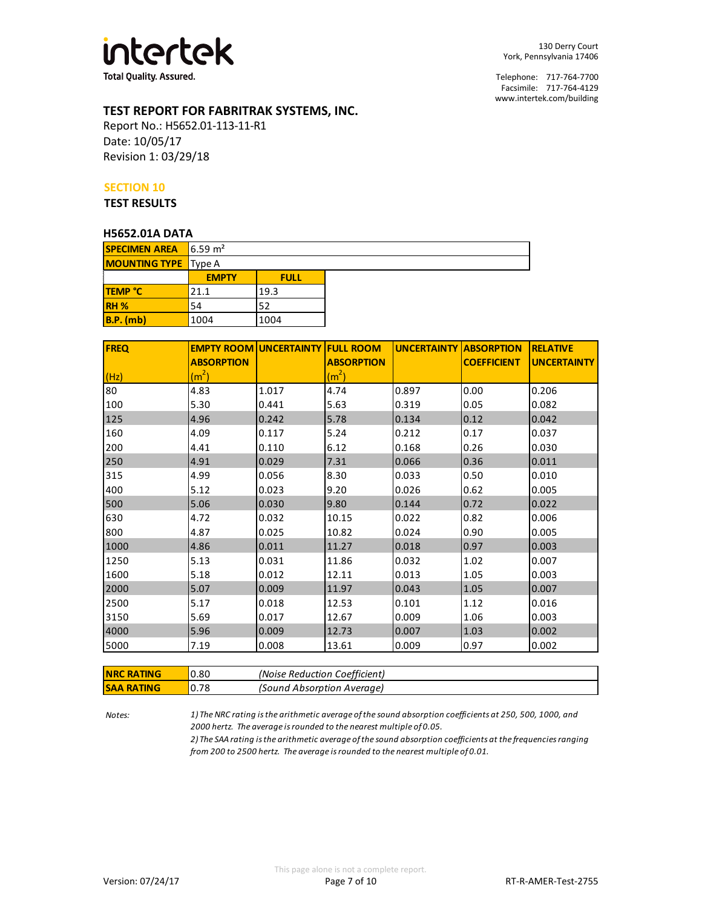

## **TEST REPORT FOR FABRITRAK SYSTEMS, INC.**

Report No.: H5652.01-113-11-R1 Date: 10/05/17 Revision 1: 03/29/18

#### **SECTION 10**

**TEST RESULTS**

#### **H5652.01A DATA**

| <b>SPECIMEN AREA</b>        | $\sqrt{6.59}$ m <sup>2</sup> |             |  |
|-----------------------------|------------------------------|-------------|--|
| <b>MOUNTING TYPE</b> Type A |                              |             |  |
|                             | <b>EMPTY</b>                 | <b>FULL</b> |  |
| <b>TEMP °C</b>              | 21.1                         | 19.3        |  |
| <b>RH %</b>                 | 54                           | 52          |  |
| $B.P.$ (mb)                 | 1004                         | 1004        |  |

| <b>FREQ</b> |                   | <b>EMPTY ROOM UNCERTAINTY FULL ROOM</b> |                   | <b>UNCERTAINTY ABSORPTION</b> |                    | <b>RELATIVE</b>    |
|-------------|-------------------|-----------------------------------------|-------------------|-------------------------------|--------------------|--------------------|
|             | <b>ABSORPTION</b> |                                         | <b>ABSORPTION</b> |                               | <b>COEFFICIENT</b> | <b>UNCERTAINTY</b> |
| (Hz)        | (m <sup>2</sup> ) |                                         | (m <sup>2</sup> ) |                               |                    |                    |
| 80          | 4.83              | 1.017                                   | 4.74              | 0.897                         | 0.00               | 0.206              |
| 100         | 5.30              | 0.441                                   | 5.63              | 0.319                         | 0.05               | 0.082              |
| 125         | 4.96              | 0.242                                   | 5.78              | 0.134                         | 0.12               | 0.042              |
| 160         | 4.09              | 0.117                                   | 5.24              | 0.212                         | 0.17               | 0.037              |
| 200         | 4.41              | 0.110                                   | 6.12              | 0.168                         | 0.26               | 0.030              |
| 250         | 4.91              | 0.029                                   | 7.31              | 0.066                         | 0.36               | 0.011              |
| 315         | 4.99              | 0.056                                   | 8.30              | 0.033                         | 0.50               | 0.010              |
| 400         | 5.12              | 0.023                                   | 9.20              | 0.026                         | 0.62               | 0.005              |
| 500         | 5.06              | 0.030                                   | 9.80              | 0.144                         | 0.72               | 0.022              |
| 630         | 4.72              | 0.032                                   | 10.15             | 0.022                         | 0.82               | 0.006              |
| 800         | 4.87              | 0.025                                   | 10.82             | 0.024                         | 0.90               | 0.005              |
| 1000        | 4.86              | 0.011                                   | 11.27             | 0.018                         | 0.97               | 0.003              |
| 1250        | 5.13              | 0.031                                   | 11.86             | 0.032                         | 1.02               | 0.007              |
| 1600        | 5.18              | 0.012                                   | 12.11             | 0.013                         | 1.05               | 0.003              |
| 2000        | 5.07              | 0.009                                   | 11.97             | 0.043                         | 1.05               | 0.007              |
| 2500        | 5.17              | 0.018                                   | 12.53             | 0.101                         | 1.12               | 0.016              |
| 3150        | 5.69              | 0.017                                   | 12.67             | 0.009                         | 1.06               | 0.003              |
| 4000        | 5.96              | 0.009                                   | 12.73             | 0.007                         | 1.03               | 0.002              |
| 5000        | 7.19              | 0.008                                   | 13.61             | 0.009                         | 0.97               | 0.002              |

| <b>NRC RATING</b> | 0.80 | (Noise Reduction Coefficient) |
|-------------------|------|-------------------------------|
| <b>SAA RATING</b> | 0.78 | (Sound Absorption Average)    |

*Notes: 1) The NRC rating is the arithmetic average of the sound absorption coefficients at 250, 500, 1000, and 2000 hertz. The average is rounded to the nearest multiple of 0.05.*

*2) The SAA rating is the arithmetic average of the sound absorption coefficients at the frequencies ranging from 200 to 2500 hertz. The average is rounded to the nearest multiple of 0.01.*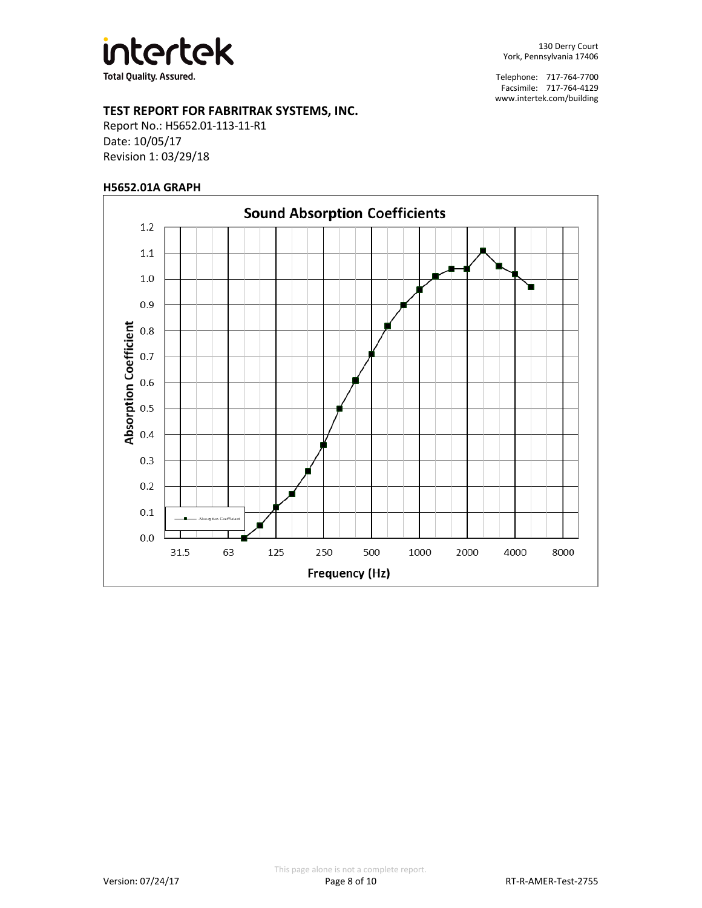

## **TEST REPORT FOR FABRITRAK SYSTEMS, INC.**

Report No.: H5652.01-113-11-R1 Date: 10/05/17 Revision 1: 03/29/18

#### **H5652.01A GRAPH**

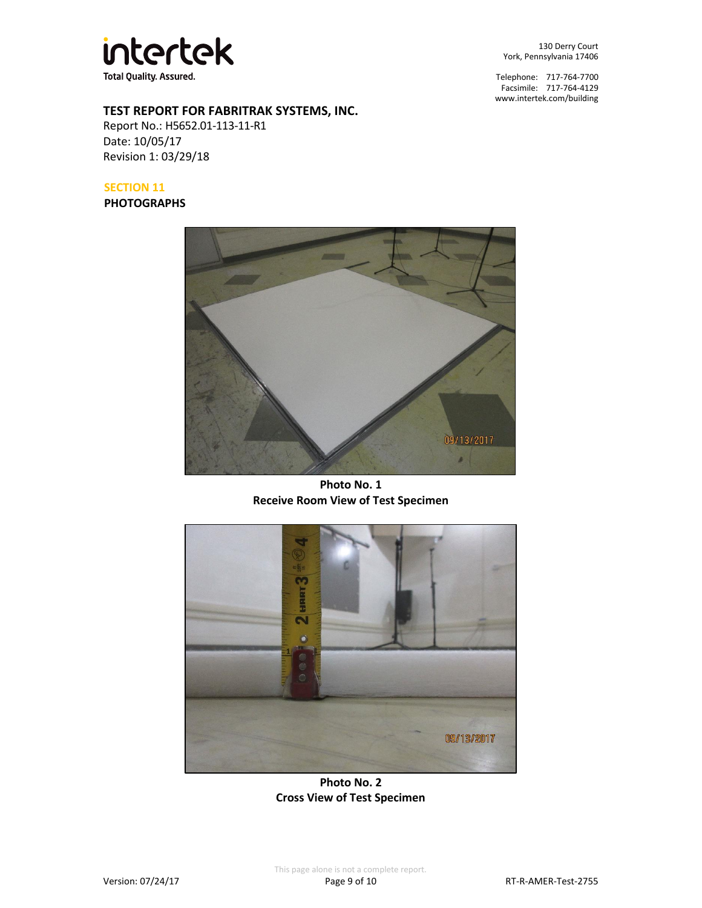

130 Derry Court York, Pennsylvania 17406

Telephone: 717-764-7700 Facsimile: 717-764-4129 [www.intertek.com/building](http://www.intertek.com/building)

# **TEST REPORT FOR FABRITRAK SYSTEMS, INC.**

Report No.: H5652.01-113-11-R1 Date: 10/05/17 Revision 1: 03/29/18

## **SECTION 11**

**PHOTOGRAPHS**



**Photo No. 1 Receive Room View of Test Specimen**



**Photo No. 2 Cross View of Test Specimen**